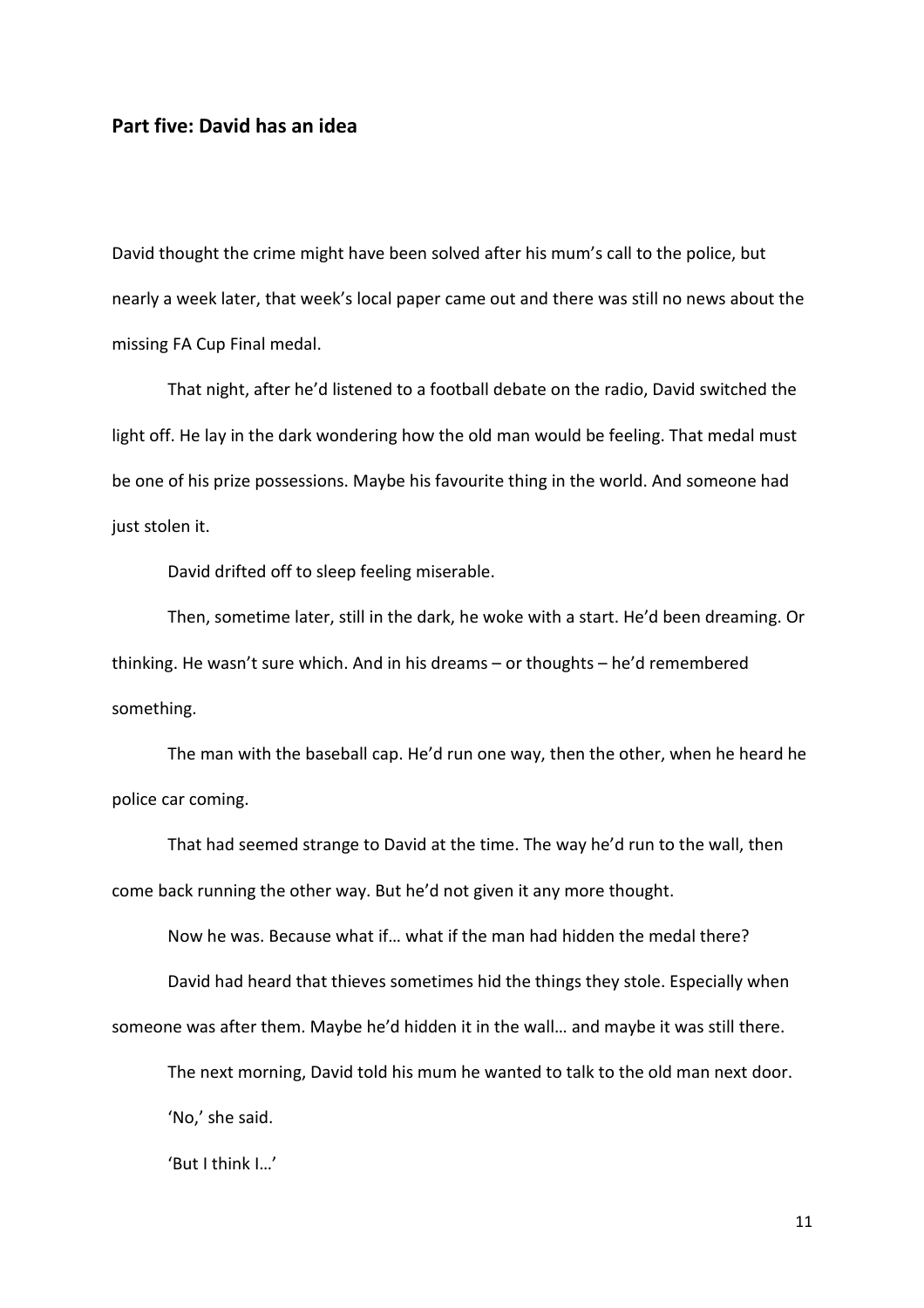## Part five: David has an idea

David thought the crime might have been solved after his mum's call to the police, but nearly a week later, that week's local paper came out and there was still no news about the missing FA Cup Final medal.

 That night, after he'd listened to a football debate on the radio, David switched the light off. He lay in the dark wondering how the old man would be feeling. That medal must be one of his prize possessions. Maybe his favourite thing in the world. And someone had just stolen it.

David drifted off to sleep feeling miserable.

 Then, sometime later, still in the dark, he woke with a start. He'd been dreaming. Or thinking. He wasn't sure which. And in his dreams – or thoughts – he'd remembered something.

 The man with the baseball cap. He'd run one way, then the other, when he heard he police car coming.

 That had seemed strange to David at the time. The way he'd run to the wall, then come back running the other way. But he'd not given it any more thought.

Now he was. Because what if… what if the man had hidden the medal there?

David had heard that thieves sometimes hid the things they stole. Especially when

someone was after them. Maybe he'd hidden it in the wall… and maybe it was still there.

The next morning, David told his mum he wanted to talk to the old man next door.

'No,' she said.

'But I think I…'

11